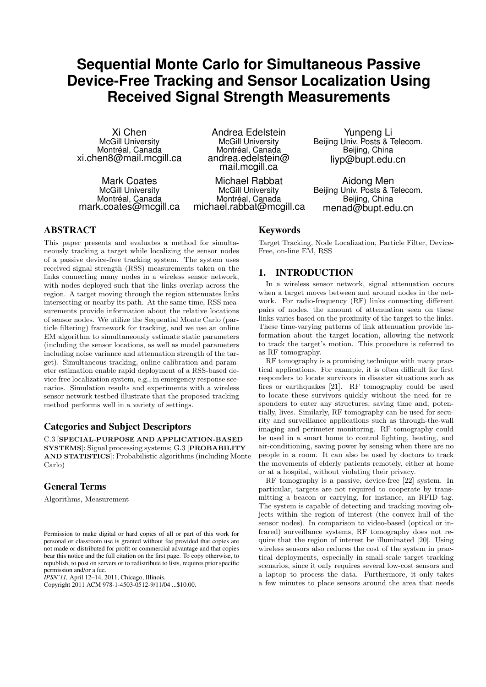# **Sequential Monte Carlo for Simultaneous Passive Device-Free Tracking and Sensor Localization Using Received Signal Strength Measurements**

Xi Chen McGill University Montréal, Canada xi.chen8@mail.mcgill.ca

Mark Coates McGill University Montréal, Canada mark.coates@mcgill.ca

Andrea Edelstein McGill University Montréal, Canada andrea.edelstein@ mail.mcgill.ca

Michael Rabbat McGill University Montréal, Canada michael.rabbat@mcgill.ca

Yunpeng Li Beijing Univ. Posts & Telecom. Beijing, China liyp@bupt.edu.cn

Aidong Men Beijing Univ. Posts & Telecom. Beijing, China menad@bupt.edu.cn

## ABSTRACT

This paper presents and evaluates a method for simultaneously tracking a target while localizing the sensor nodes of a passive device-free tracking system. The system uses received signal strength (RSS) measurements taken on the links connecting many nodes in a wireless sensor network, with nodes deployed such that the links overlap across the region. A target moving through the region attenuates links intersecting or nearby its path. At the same time, RSS measurements provide information about the relative locations of sensor nodes. We utilize the Sequential Monte Carlo (particle filtering) framework for tracking, and we use an online EM algorithm to simultaneously estimate static parameters (including the sensor locations, as well as model parameters including noise variance and attenuation strength of the target). Simultaneous tracking, online calibration and parameter estimation enable rapid deployment of a RSS-based device free localization system, e.g., in emergency response scenarios. Simulation results and experiments with a wireless sensor network testbed illustrate that the proposed tracking method performs well in a variety of settings.

# Categories and Subject Descriptors

C.3 [SPECIAL-PURPOSE AND APPLICATION-BASED SYSTEMS]: Signal processing systems; G.3 [PROBABILITY AND STATISTICS]: Probabilistic algorithms (including Monte Carlo)

# General Terms

Algorithms, Measurement

*IPSN'11,* April 12–14, 2011, Chicago, Illinois.

Copyright 2011 ACM 978-1-4503-0512-9/11/04 ...\$10.00.

#### Keywords

Target Tracking, Node Localization, Particle Filter, Device-Free, on-line EM, RSS

# 1. INTRODUCTION

In a wireless sensor network, signal attenuation occurs when a target moves between and around nodes in the network. For radio-frequency (RF) links connecting different pairs of nodes, the amount of attenuation seen on these links varies based on the proximity of the target to the links. These time-varying patterns of link attenuation provide information about the target location, allowing the network to track the target's motion. This procedure is referred to as RF tomography.

RF tomography is a promising technique with many practical applications. For example, it is often difficult for first responders to locate survivors in disaster situations such as fires or earthquakes [21]. RF tomography could be used to locate these survivors quickly without the need for responders to enter any structures, saving time and, potentially, lives. Similarly, RF tomography can be used for security and surveillance applications such as through-the-wall imaging and perimeter monitoring. RF tomography could be used in a smart home to control lighting, heating, and air-conditioning, saving power by sensing when there are no people in a room. It can also be used by doctors to track the movements of elderly patients remotely, either at home or at a hospital, without violating their privacy.

RF tomography is a passive, device-free [22] system. In particular, targets are not required to cooperate by transmitting a beacon or carrying, for instance, an RFID tag. The system is capable of detecting and tracking moving objects within the region of interest (the convex hull of the sensor nodes). In comparison to video-based (optical or infrared) surveillance systems, RF tomography does not require that the region of interest be illuminated [20]. Using wireless sensors also reduces the cost of the system in practical deployments, especially in small-scale target tracking scenarios, since it only requires several low-cost sensors and a laptop to process the data. Furthermore, it only takes a few minutes to place sensors around the area that needs

Permission to make digital or hard copies of all or part of this work for personal or classroom use is granted without fee provided that copies are not made or distributed for profit or commercial advantage and that copies bear this notice and the full citation on the first page. To copy otherwise, to republish, to post on servers or to redistribute to lists, requires prior specific permission and/or a fee.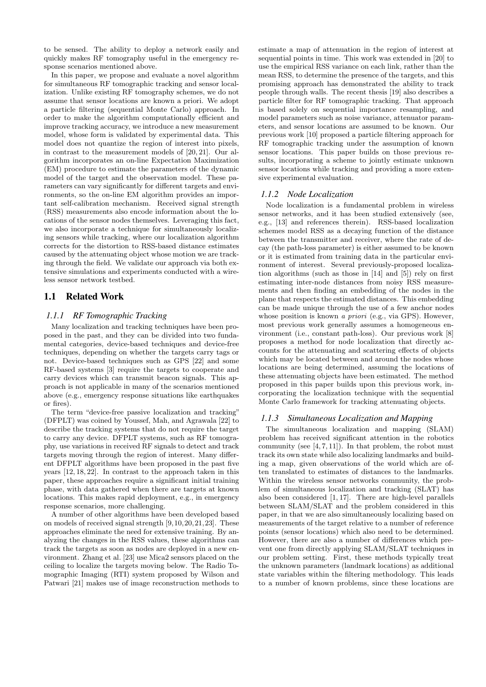to be sensed. The ability to deploy a network easily and quickly makes RF tomography useful in the emergency response scenarios mentioned above.

In this paper, we propose and evaluate a novel algorithm for simultaneous RF tomographic tracking and sensor localization. Unlike existing RF tomography schemes, we do not assume that sensor locations are known a priori. We adopt a particle filtering (sequential Monte Carlo) approach. In order to make the algorithm computationally efficient and improve tracking accuracy, we introduce a new measurement model, whose form is validated by experimental data. This model does not quantize the region of interest into pixels, in contrast to the measurement models of [20, 21]. Our algorithm incorporates an on-line Expectation Maximization (EM) procedure to estimate the parameters of the dynamic model of the target and the observation model. These parameters can vary significantly for different targets and environments, so the on-line EM algorithm provides an important self-calibration mechanism. Received signal strength (RSS) measurements also encode information about the locations of the sensor nodes themselves. Leveraging this fact, we also incorporate a technique for simultaneously localizing sensors while tracking, where our localization algorithm corrects for the distortion to RSS-based distance estimates caused by the attenuating object whose motion we are tracking through the field. We validate our approach via both extensive simulations and experiments conducted with a wireless sensor network testbed.

# 1.1 Related Work

## *1.1.1 RF Tomographic Tracking*

Many localization and tracking techniques have been proposed in the past, and they can be divided into two fundamental categories, device-based techniques and device-free techniques, depending on whether the targets carry tags or not. Device-based techniques such as GPS [22] and some RF-based systems [3] require the targets to cooperate and carry devices which can transmit beacon signals. This approach is not applicable in many of the scenarios mentioned above (e.g., emergency response situations like earthquakes or fires).

The term "device-free passive localization and tracking" (DFPLT) was coined by Youssef, Mah, and Agrawala [22] to describe the tracking systems that do not require the target to carry any device. DFPLT systems, such as RF tomography, use variations in received RF signals to detect and track targets moving through the region of interest. Many different DFPLT algorithms have been proposed in the past five years [12, 18, 22]. In contrast to the approach taken in this paper, these approaches require a significant initial training phase, with data gathered when there are targets at known locations. This makes rapid deployment, e.g., in emergency response scenarios, more challenging.

A number of other algorithms have been developed based on models of received signal strength [9,10,20,21,23]. These approaches eliminate the need for extensive training. By analyzing the changes in the RSS values, these algorithms can track the targets as soon as nodes are deployed in a new environment. Zhang et al. [23] use Mica2 sensors placed on the ceiling to localize the targets moving below. The Radio Tomographic Imaging (RTI) system proposed by Wilson and Patwari [21] makes use of image reconstruction methods to estimate a map of attenuation in the region of interest at sequential points in time. This work was extended in [20] to use the empirical RSS variance on each link, rather than the mean RSS, to determine the presence of the targets, and this promising approach has demonstrated the ability to track people through walls. The recent thesis [19] also describes a particle filter for RF tomographic tracking. That approach is based solely on sequential importance resampling, and model parameters such as noise variance, attenuator parameters, and sensor locations are assumed to be known. Our previous work [10] proposed a particle filtering approach for RF tomographic tracking under the assumption of known sensor locations. This paper builds on those previous results, incorporating a scheme to jointly estimate unknown sensor locations while tracking and providing a more extensive experimental evaluation.

#### *1.1.2 Node Localization*

Node localization is a fundamental problem in wireless sensor networks, and it has been studied extensively (see, e.g., [13] and references therein). RSS-based localization schemes model RSS as a decaying function of the distance between the transmitter and receiver, where the rate of decay (the path-loss parameter) is either assumed to be known or it is estimated from training data in the particular environment of interest. Several previously-proposed localization algorithms (such as those in [14] and [5]) rely on first estimating inter-node distances from noisy RSS measurements and then finding an embedding of the nodes in the plane that respects the estimated distances. This embedding can be made unique through the use of a few anchor nodes whose position is known *a priori* (e.g., via GPS). However, most previous work generally assumes a homogeneous environment (i.e., constant path-loss). Our previous work [8] proposes a method for node localization that directly accounts for the attenuating and scattering effects of objects which may be located between and around the nodes whose locations are being determined, assuming the locations of these attenuating objects have been estimated. The method proposed in this paper builds upon this previous work, incorporating the localization technique with the sequential Monte Carlo framework for tracking attenuating objects.

#### *1.1.3 Simultaneous Localization and Mapping*

The simultaneous localization and mapping (SLAM) problem has received significant attention in the robotics community (see  $[4, 7, 11]$ ). In that problem, the robot must track its own state while also localizing landmarks and building a map, given observations of the world which are often translated to estimates of distances to the landmarks. Within the wireless sensor networks community, the problem of simultaneous localization and tracking (SLAT) has also been considered [1, 17]. There are high-level parallels between SLAM/SLAT and the problem considered in this paper, in that we are also simultaneously localizing based on measurements of the target relative to a number of reference points (sensor locations) which also need to be determined. However, there are also a number of differences which prevent one from directly applying SLAM/SLAT techniques in our problem setting. First, these methods typically treat the unknown parameters (landmark locations) as additional state variables within the filtering methodology. This leads to a number of known problems, since these locations are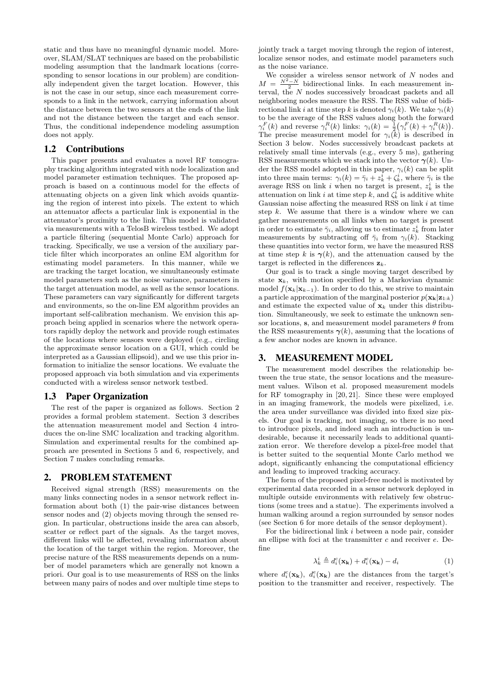static and thus have no meaningful dynamic model. Moreover, SLAM/SLAT techniques are based on the probabilistic modeling assumption that the landmark locations (corresponding to sensor locations in our problem) are conditionally independent given the target location. However, this is not the case in our setup, since each measurement corresponds to a link in the network, carrying information about the distance between the two sensors at the ends of the link and not the distance between the target and each sensor. Thus, the conditional independence modeling assumption does not apply.

### 1.2 Contributions

This paper presents and evaluates a novel RF tomography tracking algorithm integrated with node localization and model parameter estimation techniques. The proposed approach is based on a continuous model for the effects of attenuating objects on a given link which avoids quantizing the region of interest into pixels. The extent to which an attenuator affects a particular link is exponential in the attenuator's proximity to the link. This model is validated via measurements with a TelosB wireless testbed. We adopt a particle filtering (sequential Monte Carlo) approach for tracking. Specifically, we use a version of the auxiliary particle filter which incorporates an online EM algorithm for estimating model parameters. In this manner, while we are tracking the target location, we simultaneously estimate model parameters such as the noise variance, parameters in the target attenuation model, as well as the sensor locations. These parameters can vary significantly for different targets and environments, so the on-line EM algorithm provides an important self-calibration mechanism. We envision this approach being applied in scenarios where the network operators rapidly deploy the network and provide rough estimates of the locations where sensors were deployed (e.g., circling the approximate sensor location on a GUI, which could be interpreted as a Gaussian ellipsoid), and we use this prior information to initialize the sensor locations. We evaluate the proposed approach via both simulation and via experiments conducted with a wireless sensor network testbed.

## 1.3 Paper Organization

The rest of the paper is organized as follows. Section 2 provides a formal problem statement. Section 3 describes the attenuation measurement model and Section 4 introduces the on-line SMC localization and tracking algorithm. Simulation and experimental results for the combined approach are presented in Sections 5 and 6, respectively, and Section 7 makes concluding remarks.

## 2. PROBLEM STATEMENT

Received signal strength (RSS) measurements on the many links connecting nodes in a sensor network reflect information about both (1) the pair-wise distances between sensor nodes and (2) objects moving through the sensed region. In particular, obstructions inside the area can absorb, scatter or reflect part of the signals. As the target moves, different links will be affected, revealing information about the location of the target within the region. Moreover, the precise nature of the RSS measurements depends on a number of model parameters which are generally not known a priori. Our goal is to use measurements of RSS on the links between many pairs of nodes and over multiple time steps to

jointly track a target moving through the region of interest, localize sensor nodes, and estimate model parameters such as the noise variance.

We consider a wireless sensor network of  $N$  nodes and  $M = \frac{N^2 - N}{2}$  bidirectional links. In each measurement interval, the N nodes successively broadcast packets and all neighboring nodes measure the RSS. The RSS value of bidirectional link i at time step k is denoted  $\gamma_i(k)$ . We take  $\gamma_i(k)$ to be the average of the RSS values along both the forward  $\gamma_i^F(k)$  and reverse  $\gamma_i^R(k)$  links:  $\gamma_i(k) = \frac{1}{2} (\gamma_i^F(k) + \gamma_i^R(k)).$ The precise measurement model for  $\gamma_i(\vec{k})$  is described in Section 3 below. Nodes successively broadcast packets at relatively small time intervals (e.g., every 5 ms), gathering RSS measurements which we stack into the vector  $\gamma(k)$ . Under the RSS model adopted in this paper,  $\gamma_i(k)$  can be split into three main terms:  $\gamma_i(k) = \bar{\gamma}_i + z_k^i + \zeta_k^i$ , where  $\bar{\gamma}_i$  is the average RSS on link i when no target is present,  $z_k^i$  is the attenuation on link *i* at time step *k*, and  $\zeta_k^i$  is additive white Gaussian noise affecting the measured RSS on link i at time step  $k$ . We assume that there is a window where we can gather measurements on all links when no target is present in order to estimate  $\bar{\gamma}_i$ , allowing us to estimate  $z_k^i$  from later measurements by subtracting off  $\bar{\gamma}_i$  from  $\gamma_i(k)$ . Stacking these quantities into vector form, we have the measured RSS at time step k is  $\gamma(k)$ , and the attenuation caused by the target is reflected in the differences  $z_k$ .

Our goal is to track a single moving target described by state  $x_k$ , with motion specified by a Markovian dynamic model  $f(\mathbf{x}_k|\mathbf{x}_{k-1})$ . In order to do this, we strive to maintain a particle approximation of the marginal posterior  $p(\mathbf{x_k}|\mathbf{z}_{1:k})$ and estimate the expected value of  $\mathbf{x}_k$  under this distribution. Simultaneously, we seek to estimate the unknown sensor locations, s, and measurement model parameters  $\theta$  from the RSS measurements  $\gamma(k)$ , assuming that the locations of a few anchor nodes are known in advance.

## 3. MEASUREMENT MODEL

The measurement model describes the relationship between the true state, the sensor locations and the measurement values. Wilson et al. proposed measurement models for RF tomography in [20, 21]. Since these were employed in an imaging framework, the models were pixelized, i.e. the area under surveillance was divided into fixed size pixels. Our goal is tracking, not imaging, so there is no need to introduce pixels, and indeed such an introduction is undesirable, because it necessarily leads to additional quantization error. We therefore develop a pixel-free model that is better suited to the sequential Monte Carlo method we adopt, significantly enhancing the computational efficiency and leading to improved tracking accuracy.

The form of the proposed pixel-free model is motivated by experimental data recorded in a sensor network deployed in multiple outside environments with relatively few obstructions (some trees and a statue). The experiments involved a human walking around a region surrounded by sensor nodes (see Section 6 for more details of the sensor deployment).

For the bidirectional link i between a node pair, consider an ellipse with foci at the transmitter  $c$  and receiver  $e$ . Define

$$
\lambda_k^i \triangleq d_i^c(\mathbf{x_k}) + d_i^e(\mathbf{x_k}) - d_i \tag{1}
$$

where  $d_i^c(\mathbf{x}_k)$ ,  $d_i^e(\mathbf{x}_k)$  are the distances from the target's position to the transmitter and receiver, respectively. The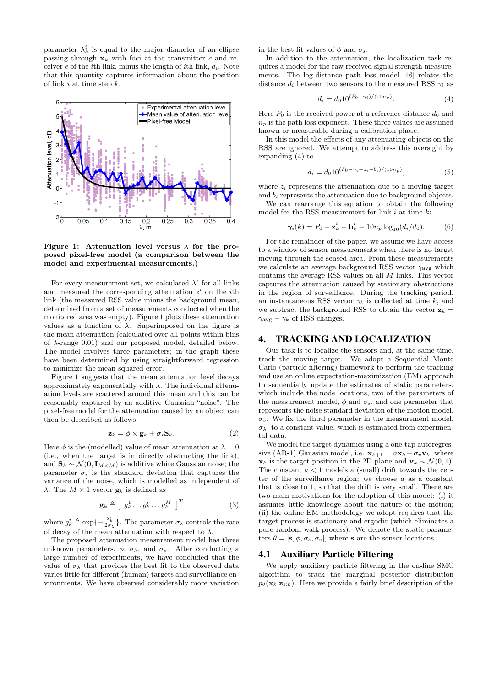parameter  $\lambda_k^i$  is equal to the major diameter of an ellipse passing through  $x_k$  with foci at the transmitter c and receiver e of the *i*th link, minus the length of *i*th link,  $d_i$ . Note that this quantity captures information about the position of link  $i$  at time step  $k$ .



Figure 1: Attenuation level versus  $\lambda$  for the proposed pixel-free model (a comparison between the model and experimental measurements.)

For every measurement set, we calculated  $\lambda^i$  for all links and measured the corresponding attenuation  $z^i$  on the *i*th link (the measured RSS value minus the background mean, determined from a set of measurements conducted when the monitored area was empty). Figure 1 plots these attenuation values as a function of  $\lambda$ . Superimposed on the figure is the mean attenuation (calculated over all points within bins of  $\lambda$ -range 0.01) and our proposed model, detailed below. The model involves three parameters; in the graph these have been determined by using straightforward regression to minimize the mean-squared error.

Figure 1 suggests that the mean attenuation level decays approximately exponentially with  $\lambda$ . The individual attenuation levels are scattered around this mean and this can be reasonably captured by an additive Gaussian "noise". The pixel-free model for the attenuation caused by an object can then be described as follows:

$$
\mathbf{z}_k = \phi \times \mathbf{g}_k + \sigma_s \mathbf{S}_k. \tag{2}
$$

Here  $\phi$  is the (modelled) value of mean attenuation at  $\lambda = 0$ (i.e., when the target is in directly obstructing the link), and  $\mathbf{S}_k \sim \mathcal{N}(\mathbf{0}, \mathbf{I}_{M \times M})$  is additive white Gaussian noise; the parameter  $\sigma_s$  is the standard deviation that captures the variance of the noise, which is modelled as independent of λ. The  $M \times 1$  vector  $g_k$  is defined as

$$
\mathbf{g}_k \triangleq \left[ g_k^1 \dots g_k^i \dots g_k^M \right]^T \tag{3}
$$

where  $g_k^i \triangleq \exp\{-\frac{\lambda_k^i}{2\sigma_\lambda}\}$ . The parameter  $\sigma_\lambda$  controls the rate of decay of the mean attenuation with respect to  $\lambda$ .

The proposed attenuation measurement model has three unknown parameters,  $\phi$ ,  $\sigma_{\lambda}$ , and  $\sigma_{s}$ . After conducting a large number of experiments, we have concluded that the value of  $\sigma_{\lambda}$  that provides the best fit to the observed data varies little for different (human) targets and surveillance environments. We have observed considerably more variation

in the best-fit values of  $\phi$  and  $\sigma_s$ .

In addition to the attenuation, the localization task requires a model for the raw received signal strength measurements. The log-distance path loss model [16] relates the distance  $d_i$  between two sensors to the measured RSS  $\gamma_i$  as

$$
d_i = d_0 10^{(P_0 - \gamma_i)/(10n_p)}.\t\t(4)
$$

Here  $P_0$  is the received power at a reference distance  $d_0$  and  $n_p$  is the path loss exponent. These three values are assumed known or measurable during a calibration phase.

In this model the effects of any attenuating objects on the RSS are ignored. We attempt to address this oversight by expanding (4) to

$$
d_i = d_0 10^{(P_0 - \gamma_i - z_i - b_i)/(10n_p)},\tag{5}
$$

where  $z_i$  represents the attenuation due to a moving target and b<sup>i</sup> represents the attenuation due to background objects.

We can rearrange this equation to obtain the following model for the RSS measurement for link  $i$  at time  $k$ :

$$
\boldsymbol{\gamma}_i(k) = P_0 - \mathbf{z}_k^i - \mathbf{b}_k^i - 10n_p \log_{10}(d_i/d_0). \tag{6}
$$

For the remainder of the paper, we assume we have access to a window of sensor measurements when there is no target moving through the sensed area. From these measurements we calculate an average background RSS vector  $\gamma_{\text{avg}}$  which contains the average RSS values on all  $M$  links. This vector captures the attenuation caused by stationary obstructions in the region of surveillance. During the tracking period, an instantaneous RSS vector  $\gamma_k$  is collected at time k, and we subtract the background RSS to obtain the vector  $z_k =$  $\gamma_{\text{avg}} - \gamma_k$  of RSS changes.

# 4. TRACKING AND LOCALIZATION

Our task is to localize the sensors and, at the same time, track the moving target. We adopt a Sequential Monte Carlo (particle filtering) framework to perform the tracking and use an online expectation-maximization (EM) approach to sequentially update the estimates of static parameters, which include the node locations, two of the parameters of the measurement model,  $\phi$  and  $\sigma_s$ , and one parameter that represents the noise standard deviation of the motion model,  $\sigma_v$ . We fix the third parameter in the measurement model,  $\sigma_{\lambda}$ , to a constant value, which is estimated from experimental data.

We model the target dynamics using a one-tap autoregressive (AR-1) Gaussian model, i.e.  $\mathbf{x}_{k+1} = a\mathbf{x}_k + \sigma_v \mathbf{v}_k$ , where  $\mathbf{x}_k$  is the target position in the 2D plane and  $\mathbf{v}_k \sim \mathcal{N}(0, 1)$ . The constant  $a < 1$  models a (small) drift towards the center of the surveillance region; we choose  $a$  as a constant that is close to 1, so that the drift is very small. There are two main motivations for the adoption of this model: (i) it assumes little knowledge about the nature of the motion; (ii) the online EM methodology we adopt requires that the target process is stationary and ergodic (which eliminates a pure random walk process). We denote the static parameters  $\theta = [\mathbf{s}, \phi, \sigma_s, \sigma_v]$ , where **s** are the sensor locations.

## 4.1 Auxiliary Particle Filtering

We apply auxiliary particle filtering in the on-line SMC algorithm to track the marginal posterior distribution  $p_{\theta}(\mathbf{x}_k|\mathbf{z}_{1:k})$ . Here we provide a fairly brief description of the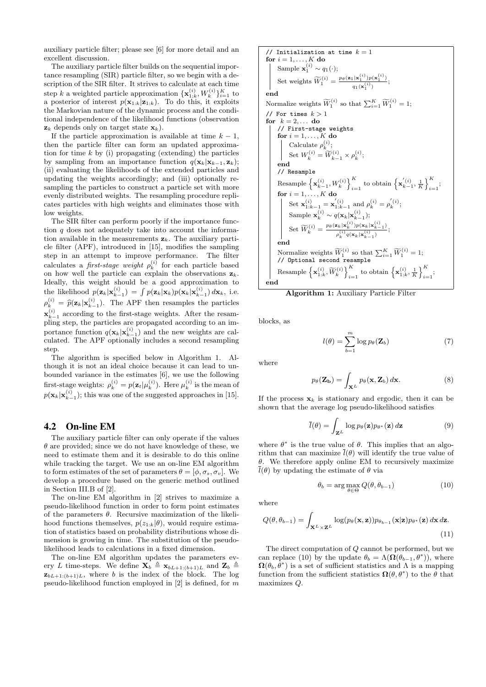auxiliary particle filter; please see [6] for more detail and an excellent discussion.

The auxiliary particle filter builds on the sequential importance resampling (SIR) particle filter, so we begin with a description of the SIR filter. It strives to calculate at each time step k a weighted particle approximation  $\{\mathbf x_{1:k}^{(i)}, W_k^{(i)}\}_{i=1}^K$  to a posterior of interest  $p(\mathbf{x}_{1:k}|\mathbf{z}_{1:k})$ . To do this, it exploits the Markovian nature of the dynamic process and the conditional independence of the likelihood functions (observation  $\mathbf{z}_k$  depends only on target state  $\mathbf{x}_k$ ).

If the particle approximation is available at time  $k - 1$ , then the particle filter can form an updated approximation for time  $k$  by (i) propagating (extending) the particles by sampling from an importance function  $q(\mathbf{x}_k|\mathbf{x}_{k-1}, \mathbf{z}_k);$ (ii) evaluating the likelihoods of the extended particles and updating the weights accordingly; and (iii) optionally resampling the particles to construct a particle set with more evenly distributed weights. The resampling procedure replicates particles with high weights and eliminates those with low weights.

The SIR filter can perform poorly if the importance function  $q$  does not adequately take into account the information available in the measurements  $z_k$ . The auxiliary particle filter (APF), introduced in [15], modifies the sampling step in an attempt to improve performance. The filter calculates a *first-stage weight*  $\rho_k^{(i)}$  for each particle based on how well the particle can explain the observations  $z_k$ . Ideally, this weight should be a good approximation to the likelihood  $p(\mathbf{z}_k|\mathbf{x}_{k-1}^{(i)}) = \int p(\mathbf{z}_k|\mathbf{x}_k)p(\mathbf{x}_k|\mathbf{x}_{k-1}^{(i)}) d\mathbf{x}_k$ , i.e.  $\rho_k^{(i)} = \hat{p}(\mathbf{z}_k | \mathbf{x}_{k-1}^{(i)})$ . The APF then resamples the particles  $\mathbf{x}_{k-1}^{(i)}$  according to the first-stage weights. After the resampling step, the particles are propagated according to an importance function  $q(\mathbf{x}_k|\mathbf{x}_{k-1}^{(i)})$  and the new weights are calculated. The APF optionally includes a second resampling step.

The algorithm is specified below in Algorithm 1. Although it is not an ideal choice because it can lead to unbounded variance in the estimates [6], we use the following first-stage weights:  $\rho_k^{(i)} = p(\mathbf{z}_t | \mu_k^{(i)})$ . Here  $\mu_k^{(i)}$  is the mean of  $p(\mathbf{x}_k|\mathbf{x}_{k-1}^{(i)})$ ; this was one of the suggested approaches in [15].

## 4.2 On-line EM

The auxiliary particle filter can only operate if the values  $\theta$  are provided; since we do not have knowledge of these, we need to estimate them and it is desirable to do this online while tracking the target. We use an on-line EM algorithm to form estimates of the set of parameters  $\theta = [\phi, \sigma_s, \sigma_v]$ . We develop a procedure based on the generic method outlined in Section III.B of [2].

The on-line EM algorithm in [2] strives to maximize a pseudo-likelihood function in order to form point estimates of the parameters  $\theta$ . Recursive maximization of the likelihood functions themselves,  $p(z_{1:k}|\theta)$ , would require estimation of statistics based on probability distributions whose dimension is growing in time. The substitution of the pseudolikelihood leads to calculations in a fixed dimension.

The on-line EM algorithm updates the parameters every L time-steps. We define  $\mathbf{X}_{b} \triangleq \mathbf{x}_{bL+1:(b+1)L}$  and  $\mathbf{Z}_{b} \triangleq$  $\mathbf{z}_{bL+1:(b+1)L}$ , where b is the index of the block. The log pseudo-likelihood function employed in  $[2]$  is defined, for m

// Initialization at time 
$$
k = 1
$$
 for  $i = 1, \ldots, K$  do\n
$$
\begin{array}{c}\n\text{Sample } \mathbf{x}_1^{(i)} \sim q_1(\cdot); \\
\text{Set weights } \widetilde{W}_1^{(i)} = \frac{p_\theta(\mathbf{z}_1|\mathbf{x}_1^{(i)})p(\mathbf{x}_1^{(i)})}{q_1(\mathbf{x}_1^{(i)})}; \\
\text{end}\n\end{array}
$$
\n\nNormalize weights  $\widetilde{W}_1^{(i)}$  so that  $\sum_{i=1}^K \widetilde{W}_1^{(i)} = 1$ ; // For times  $k > 1$  for  $k = 2, \ldots$  do\n
$$
\begin{array}{c}\n// First-stage weights \\
// First-stage weights \\
for  $i = 1, \ldots, K$  do\n
$$
\begin{bmatrix}\n\text{Calculate } \rho_k^{(i)}; \\
\text{Set } W_k^{(i)} = \widetilde{W}_{k-1}^{(i)} \times \rho_k^{(i)}; \\
\text{end}\n\end{array}
$$
\n\nResample\n
$$
\begin{cases}\n\text{Resample} \\
\text{Resample} \\
\text{Resample} \\
\begin{bmatrix}\n\mathbf{x}_{k-1}^{(i)}, W_k^{(i)}\n\end{bmatrix}_{i=1}^K \text{ to obtain } \left\{\mathbf{x}_{k-1}^{'(i)}, \frac{1}{K}\right\}_{i=1}^K; \\
\text{for } i = 1, \ldots, K \text{ do} \\
\text{Set } \mathbf{x}_{1:k-1}^{(i)} = \mathbf{x}_{1:k-1}^{'} \text{ and } \rho_k^{(i)} = \rho_k^{'(i)}; \\
\text{Sample } \mathbf{x}_k^{(i)} \sim q(\mathbf{x}_k|\mathbf{x}_{k-1}^{(i)}); \\
\text{Set } \widetilde{W}_k^{(i)} = \frac{p_\theta(\mathbf{z}_k|\mathbf{x}_k^{(i)})p(\mathbf{x}_k|\mathbf{x}_{k-1}^{(i)}}{p_k^{(i)}q(\mathbf{x}_k|\mathbf{x}_{k-1}^{(i)})}; \\
\text{end}\n\end{cases}
$$
\n\nNormalize weights  $\widetilde{W}_1^{(i)}$  so that  $\sum_{i=1}^K \widetilde{W}_1^{(i$
$$

Algorithm 1: Auxiliary Particle Filter

blocks, as

$$
l(\theta) = \sum_{b=1}^{m} \log p_{\theta}(\mathbf{Z}_b)
$$
 (7)

where

$$
p_{\theta}(\mathbf{Z}_{\mathbf{b}}) = \int_{\mathbf{X}^{L}} p_{\theta}(\mathbf{x}, \mathbf{Z}_{b}) d\mathbf{x}.
$$
 (8)

If the process  $x_k$  is stationary and ergodic, then it can be shown that the average log pseudo-likelihood satisfies

$$
\bar{l}(\theta) = \int_{\mathbf{Z}^L} \log p_{\theta}(\mathbf{z}) p_{\theta^*}(\mathbf{z}) d\mathbf{z}
$$
 (9)

where  $\theta^*$  is the true value of  $\theta$ . This implies that an algorithm that can maximize  $\bar{l}(\theta)$  will identify the true value of θ. We therefore apply online EM to recursively maximize  $\overline{l}(\theta)$  by updating the estimate of  $\theta$  via

$$
\theta_b = \arg \max_{\theta \in \Theta} Q(\theta, \theta_{b-1})
$$
\n(10)

where

$$
Q(\theta, \theta_{b-1}) = \int_{\mathbf{X}^L \times \mathbf{Z}^L} \log(p_{\theta}(\mathbf{x}, \mathbf{z})) p_{\theta_{b-1}}(\mathbf{x}|\mathbf{z}) p_{\theta^*}(\mathbf{z}) d\mathbf{x} d\mathbf{z}.
$$
\n(11)

The direct computation of Q cannot be performed, but we can replace (10) by the update  $\theta_b = \Lambda(\Omega(\theta_{b-1}, \theta^*))$ , where  $\Omega(\theta_b, \theta^*)$  is a set of sufficient statistics and  $\Lambda$  is a mapping function from the sufficient statistics  $\Omega(\theta, \theta^*)$  to the  $\theta$  that maximizes Q.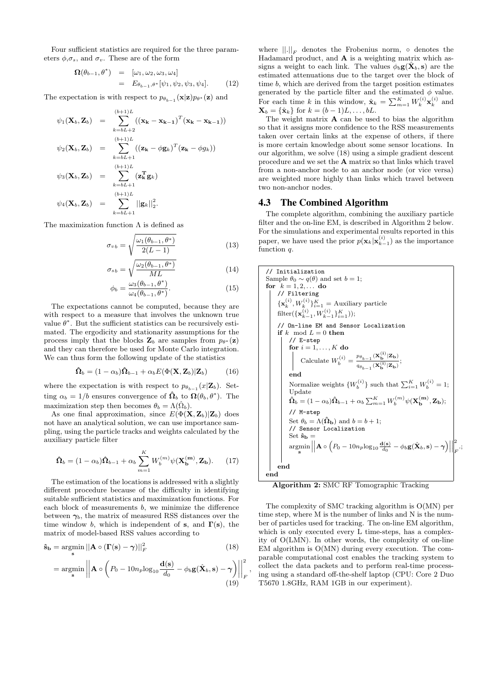Four sufficient statistics are required for the three parameters  $\phi, \sigma_s$ , and  $\sigma_v$ . These are of the form

$$
\Omega(\theta_{b-1}, \theta^*) = [\omega_1, \omega_2, \omega_3, \omega_4] \n= E_{\theta_{b-1}, \theta^*}[\psi_1, \psi_2, \psi_3, \psi_4].
$$
\n(12)

The expectation is with respect to  $p_{\theta_{b-1}}(\mathbf{x}|\mathbf{z})p_{\theta^*}(\mathbf{z})$  and

$$
\psi_1(\mathbf{X}_b, \mathbf{Z}_b) = \sum_{k=bL+2}^{(b+1)L} ((\mathbf{x_k} - \mathbf{x_{k-1}})^T (\mathbf{x_k} - \mathbf{x_{k-1}}))
$$
  
\n
$$
\psi_2(\mathbf{X}_b, \mathbf{Z}_b) = \sum_{k=bL+1}^{(b+1)L} ((\mathbf{z_k} - \phi \mathbf{g}_k)^T (\mathbf{z_k} - \phi g_k))
$$
  
\n
$$
\psi_3(\mathbf{X}_b, \mathbf{Z}_b) = \sum_{k=bL+1}^{(b+1)L} (\mathbf{z_k}^T \mathbf{g}_k)
$$
  
\n
$$
\psi_4(\mathbf{X}_b, \mathbf{Z}_b) = \sum_{k=bL+1}^{(b+1)L} ||\mathbf{g}_k||_2^2.
$$

The maximization function  $\Lambda$  is defined as

$$
\sigma_{vb} = \sqrt{\frac{\omega_1(\theta_{b-1}, \theta^*)}{2(L-1)}}\tag{13}
$$

$$
\sigma_{sb} = \sqrt{\frac{\omega_2(\theta_{b-1}, \theta^*)}{ML}} \tag{14}
$$

$$
\phi_b = \frac{\omega_3(\theta_{b-1}, \theta^*)}{\omega_4(\theta_{b-1}, \theta^*)}.
$$
\n(15)

The expectations cannot be computed, because they are with respect to a measure that involves the unknown true value  $\theta^*$ . But the sufficient statistics can be recursively estimated. The ergodicity and stationarity assumptions for the process imply that the blocks  $\mathbf{Z}_b$  are samples from  $p_{\theta^*}(\mathbf{z})$ and they can therefore be used for Monte Carlo integration. We can thus form the following update of the statistics

$$
\hat{\mathbf{\Omega}}_b = (1 - \alpha_b)\hat{\mathbf{\Omega}}_{b-1} + \alpha_b E(\Phi(\mathbf{X}, \mathbf{Z}_b) | \mathbf{Z}_b)
$$
(16)

where the expectation is with respect to  $p_{\theta_{b-1}}(x|\mathbf{Z}_b)$ . Setting  $\alpha_b = 1/b$  ensures convergence of  $\hat{\Omega}_b$  to  $\Omega(\theta_b, \theta^*)$ . The maximization step then becomes  $\theta_b = \Lambda(\hat{\Omega}_b)$ .

As one final approximation, since  $E(\Phi(\mathbf{X}, \mathbf{Z}_b)|\mathbf{Z}_b)$  does not have an analytical solution, we can use importance sampling, using the particle tracks and weights calculated by the auxiliary particle filter

$$
\hat{\mathbf{\Omega}}_b = (1 - \alpha_b)\hat{\mathbf{\Omega}}_{b-1} + \alpha_b \sum_{m=1}^K W_b^{(m)} \psi(\mathbf{X_b^{(m)}}, \mathbf{Z_b}).
$$
 (17)

The estimation of the locations is addressed with a slightly different procedure because of the difficulty in identifying suitable sufficient statistics and maximization functions. For each block of measurements  $b$ , we minimize the difference between  $\gamma_b$ , the matrix of measured RSS distances over the time window b, which is independent of s, and  $\Gamma(s)$ , the matrix of model-based RSS values according to

$$
\hat{\mathbf{s}}_{\mathbf{b}} = \underset{\mathbf{s}}{\operatorname{argmin}} \left\| \mathbf{A} \circ (\mathbf{\Gamma}(\mathbf{s}) - \boldsymbol{\gamma}) \right\|_{F}^{2}
$$
\n(18)

$$
= \underset{\mathbf{s}}{\operatorname{argmin}} \left\| \mathbf{A} \circ \left( P_0 - 10n_p \log_{10} \frac{\mathbf{d}(\mathbf{s})}{d_0} - \phi_b \mathbf{g}(\hat{\mathbf{X}}_b, \mathbf{s}) - \gamma \right) \right\|_F^2
$$
\n(19)

,

where  $\left\| . \right\|_F$  denotes the Frobenius norm,  $\circ$  denotes the Hadamard product, and A is a weighting matrix which assigns a weight to each link. The values  $\phi_b$ **g**( $\hat{\mathbf{X}}_b$ , **s**) are the estimated attenuations due to the target over the block of time b, which are derived from the target position estimates generated by the particle filter and the estimated  $\phi$  value. For each time k in this window,  $\hat{\mathbf{x}}_k = \sum_{m=1}^K W_k^{(i)} \mathbf{x}_k^{(i)}$  and  $\mathbf{X}_b = {\hat{\mathbf{x}}_k}$  for  $k = (b-1)L, \ldots, bL$ .

The weight matrix  $\bf{A}$  can be used to bias the algorithm so that it assigns more confidence to the RSS measurements taken over certain links at the expense of others, if there is more certain knowledge about some sensor locations. In our algorithm, we solve (18) using a simple gradient descent procedure and we set the A matrix so that links which travel from a non-anchor node to an anchor node (or vice versa) are weighted more highly than links which travel between two non-anchor nodes.

#### 4.3 The Combined Algorithm

The complete algorithm, combining the auxiliary particle filter and the on-line EM, is described in Algorithm 2 below. For the simulations and experimental results reported in this paper, we have used the prior  $p(\mathbf{x}_k|\mathbf{x}_{k-1}^{(i)})$  as the importance function q.

// Initialization  
\nSample 
$$
\theta_0 \sim q(\theta)
$$
 and set  $b = 1$ ;  
\nfor  $k = 1, 2, ...$  do  
\n// Filtering  
\n
$$
\{x_k^{(i)}, W_k^{(i)}\}_{i=1}^{K} =
$$
Auxiliary particle  
\nfilter( $\{x_{k-1}^{(i)}, W_{k-1}^{(i)}\}_{i=1}^{K})$ );  
\n// On-line EM and Sensor localization  
\nif  $k$  mod  $L = 0$  then  
\n// E-step  
\nfor  $i = 1, ..., K$  do  
\n
$$
\begin{vmatrix}\nC \text{alculate } W_b^{(i)} = \frac{p_{\theta_{b-1}}(X_b^{(i)}|Z_b)}{q_{\theta_{b-1}}(X_b^{(i)}|Z_b)}; \\
end\n\end{vmatrix}
$$
\nand  
\nNormalize weights  $\{W_b^{(i)}\}$  such that  $\sum_{i=1}^{K} W_b^{(i)} = 1$ ;  
\nUpdate  
\n
$$
\hat{\Omega}_b = (1 - \alpha_b)\hat{\Omega}_{b-1} + \alpha_b \sum_{m=1}^{K} W_m^{(m)} \psi(\mathbf{X}_b^{(m)}, \mathbf{Z}_b);
$$
\n// M-step  
\nSet  $\theta_b = \Lambda(\hat{\Omega}_b)$  and  $b = b + 1$ ;  
\n $\text{Set } \theta_b = \Lambda(\hat{\Omega}_b)$  and  $b = b + 1$ ;  
\nH sensor localization  
\nSet  $\hat{\mathbf{s}}_b = \operatorname{argmin} ||\mathbf{A} \circ (P_0 - 10n_p \log_{10} \frac{\mathbf{d(s)}}{d_0} - \phi_b \mathbf{g}(\hat{\mathbf{X}}_b, \mathbf{s}) - \gamma)||_F^2$ ,  
\nend  
\nend

Algorithm 2: SMC RF Tomographic Tracking

The complexity of SMC tracking algorithm is O(MN) per time step, where M is the number of links and N is the number of particles used for tracking. The on-line EM algorithm, which is only executed every L time-steps, has a complexity of O(LMN). In other words, the complexity of on-line EM algorithm is O(MN) during every execution. The comparable computational cost enables the tracking system to collect the data packets and to perform real-time processing using a standard off-the-shelf laptop (CPU: Core 2 Duo T5670 1.8GHz, RAM 1GB in our experiment).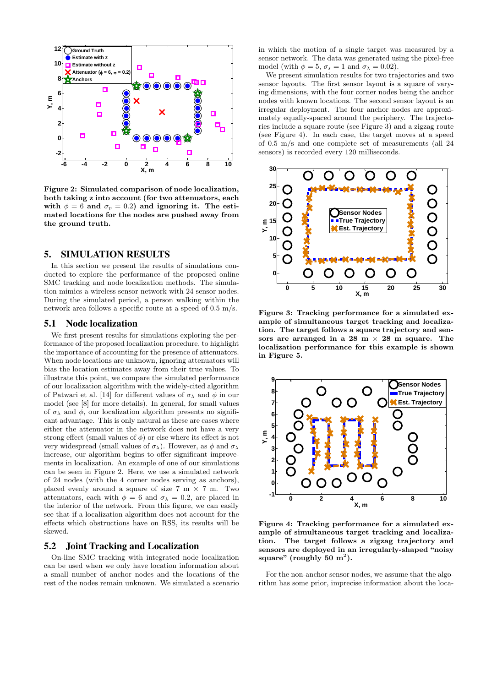

Figure 2: Simulated comparison of node localization, both taking z into account (for two attenuators, each with  $\phi = 6$  and  $\sigma_p = 0.2$ ) and ignoring it. The estimated locations for the nodes are pushed away from the ground truth.

## 5. SIMULATION RESULTS

In this section we present the results of simulations conducted to explore the performance of the proposed online SMC tracking and node localization methods. The simulation mimics a wireless sensor network with 24 sensor nodes. During the simulated period, a person walking within the network area follows a specific route at a speed of 0.5 m/s.

#### 5.1 Node localization

We first present results for simulations exploring the performance of the proposed localization procedure, to highlight the importance of accounting for the presence of attenuators. When node locations are unknown, ignoring attenuators will bias the location estimates away from their true values. To illustrate this point, we compare the simulated performance of our localization algorithm with the widely-cited algorithm of Patwari et al. [14] for different values of  $\sigma_{\lambda}$  and  $\phi$  in our model (see [8] for more details). In general, for small values of  $\sigma_{\lambda}$  and  $\phi$ , our localization algorithm presents no significant advantage. This is only natural as these are cases where either the attenuator in the network does not have a very strong effect (small values of  $\phi$ ) or else where its effect is not very widespread (small values of  $\sigma_{\lambda}$ ). However, as  $\phi$  and  $\sigma_{\lambda}$ increase, our algorithm begins to offer significant improvements in localization. An example of one of our simulations can be seen in Figure 2. Here, we use a simulated network of 24 nodes (with the 4 corner nodes serving as anchors), placed evenly around a square of size  $7 \text{ m} \times 7 \text{ m}$ . Two attenuators, each with  $\phi = 6$  and  $\sigma_{\lambda} = 0.2$ , are placed in the interior of the network. From this figure, we can easily see that if a localization algorithm does not account for the effects which obstructions have on RSS, its results will be skewed.

#### 5.2 Joint Tracking and Localization

On-line SMC tracking with integrated node localization can be used when we only have location information about a small number of anchor nodes and the locations of the rest of the nodes remain unknown. We simulated a scenario in which the motion of a single target was measured by a sensor network. The data was generated using the pixel-free model (with  $\phi = 5$ ,  $\sigma_s = 1$  and  $\sigma_{\lambda} = 0.02$ ).

We present simulation results for two trajectories and two sensor layouts. The first sensor layout is a square of varying dimensions, with the four corner nodes being the anchor nodes with known locations. The second sensor layout is an irregular deployment. The four anchor nodes are approximately equally-spaced around the periphery. The trajectories include a square route (see Figure 3) and a zigzag route (see Figure 4). In each case, the target moves at a speed of 0.5 m/s and one complete set of measurements (all 24 sensors) is recorded every 120 milliseconds.



Figure 3: Tracking performance for a simulated example of simultaneous target tracking and localization. The target follows a square trajectory and sensors are arranged in a 28 m  $\times$  28 m square. The localization performance for this example is shown in Figure 5.



Figure 4: Tracking performance for a simulated example of simultaneous target tracking and localization. The target follows a zigzag trajectory and sensors are deployed in an irregularly-shaped "noisy square" (roughly  $50 \text{ m}^2$ ).

For the non-anchor sensor nodes, we assume that the algorithm has some prior, imprecise information about the loca-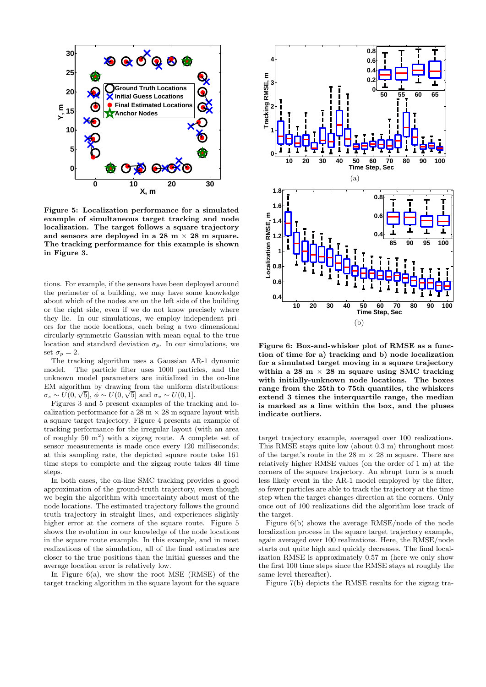

Figure 5: Localization performance for a simulated example of simultaneous target tracking and node localization. The target follows a square trajectory and sensors are deployed in a  $28 \text{ m} \times 28 \text{ m}$  square. The tracking performance for this example is shown in Figure 3.

tions. For example, if the sensors have been deployed around the perimeter of a building, we may have some knowledge about which of the nodes are on the left side of the building or the right side, even if we do not know precisely where they lie. In our simulations, we employ independent priors for the node locations, each being a two dimensional circularly-symmetric Gaussian with mean equal to the true location and standard deviation  $\sigma_p$ . In our simulations, we set  $\sigma_p = 2$ .

The tracking algorithm uses a Gaussian AR-1 dynamic model. The particle filter uses 1000 particles, and the unknown model parameters are initialized in the on-line EM algorithm by drawing from the uniform distributions:  $\sigma_s \sim U(0,\sqrt{5}], \phi \sim U(0,\sqrt{5}] \text{ and } \sigma_v \sim U(0,1].$ 

Figures 3 and 5 present examples of the tracking and localization performance for a  $28 \text{ m} \times 28 \text{ m}$  square layout with a square target trajectory. Figure 4 presents an example of tracking performance for the irregular layout (with an area of roughly  $50 \text{ m}^2$ ) with a zigzag route. A complete set of sensor measurements is made once every 120 milliseconds; at this sampling rate, the depicted square route take 161 time steps to complete and the zigzag route takes 40 time steps.

In both cases, the on-line SMC tracking provides a good approximation of the ground-truth trajectory, even though we begin the algorithm with uncertainty about most of the node locations. The estimated trajectory follows the ground truth trajectory in straight lines, and experiences slightly higher error at the corners of the square route. Figure 5 shows the evolution in our knowledge of the node locations in the square route example. In this example, and in most realizations of the simulation, all of the final estimates are closer to the true positions than the initial guesses and the average location error is relatively low.

In Figure  $6(a)$ , we show the root MSE (RMSE) of the



Figure 6: Box-and-whisker plot of RMSE as a function of time for a) tracking and b) node localization for a simulated target moving in a square trajectory within a 28 m  $\times$  28 m square using SMC tracking with initially-unknown node locations. The boxes range from the 25th to 75th quantiles, the whiskers extend 3 times the interquartile range, the median is marked as a line within the box, and the pluses indicate outliers.

target trajectory example, averaged over 100 realizations. This RMSE stays quite low (about 0.3 m) throughout most of the target's route in the 28 m  $\times$  28 m square. There are relatively higher RMSE values (on the order of 1 m) at the corners of the square trajectory. An abrupt turn is a much less likely event in the AR-1 model employed by the filter, so fewer particles are able to track the trajectory at the time step when the target changes direction at the corners. Only once out of 100 realizations did the algorithm lose track of the target.

Figure 6(b) shows the average RMSE/node of the node localization process in the square target trajectory example, again averaged over 100 realizations. Here, the RMSE/node starts out quite high and quickly decreases. The final localization RMSE is approximately 0.57 m (here we only show the first 100 time steps since the RMSE stays at roughly the same level thereafter).

Figure 7(b) depicts the RMSE results for the zigzag tra-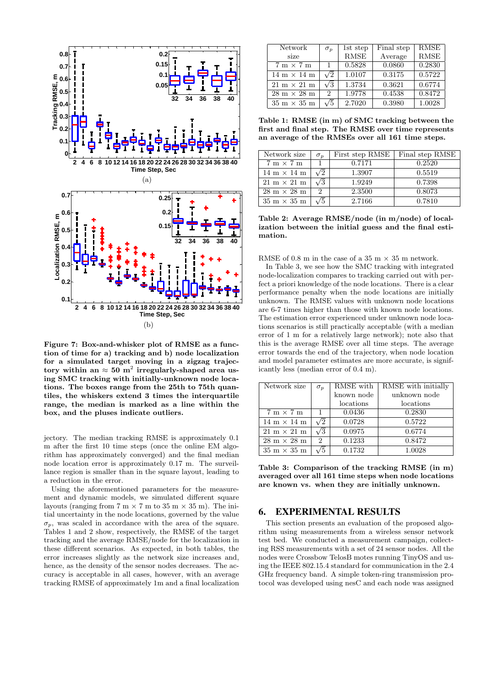

Figure 7: Box-and-whisker plot of RMSE as a function of time for a) tracking and b) node localization for a simulated target moving in a zigzag trajectory within an  $\approx 50 \; \text{m}^2$  irregularly-shaped area using SMC tracking with initially-unknown node locations. The boxes range from the 25th to 75th quantiles, the whiskers extend 3 times the interquartile range, the median is marked as a line within the box, and the pluses indicate outliers.

jectory. The median tracking RMSE is approximately 0.1 m after the first 10 time steps (once the online EM algorithm has approximately converged) and the final median node location error is approximately 0.17 m. The surveillance region is smaller than in the square layout, leading to a reduction in the error.

Using the aforementioned parameters for the measurement and dynamic models, we simulated different square layouts (ranging from  $7 \text{ m} \times 7 \text{ m}$  to  $35 \text{ m} \times 35 \text{ m}$ ). The initial uncertainty in the node locations, governed by the value  $\sigma_p$ , was scaled in accordance with the area of the square. Tables 1 and 2 show, respectively, the RMSE of the target tracking and the average RMSE/node for the localization in these different scenarios. As expected, in both tables, the error increases slightly as the network size increases and, hence, as the density of the sensor nodes decreases. The accuracy is acceptable in all cases, however, with an average tracking RMSE of approximately 1m and a final localization

| Network                            | $\sigma_p$                  | 1st step    | Final step | <b>RMSE</b> |
|------------------------------------|-----------------------------|-------------|------------|-------------|
| size                               |                             | <b>RMSE</b> | Average    | <b>RMSE</b> |
| $7 \text{ m} \times 7 \text{ m}$   | 1                           | 0.5828      | 0.0860     | 0.2830      |
| 14 m $\times$ 14 m                 | $\sqrt{2}$                  | 1.0107      | 0.3175     | 0.5722      |
| $21 \text{ m} \times 21 \text{ m}$ | $\sqrt{3}$                  | 1.3734      | 0.3621     | 0.6774      |
| $28 \text{ m} \times 28 \text{ m}$ | $\mathcal{D}_{\mathcal{L}}$ | 1.9778      | 0.4538     | 0.8472      |
| $35 \text{ m} \times 35 \text{ m}$ | $\sqrt{5}$                  | 2.7020      | 0.3980     | 1.0028      |

Table 1: RMSE (in m) of SMC tracking between the first and final step. The RMSE over time represents an average of the RMSEs over all 161 time steps.

| Network size                       | $\sigma_p$ | First step RMSE | Final step RMSE |
|------------------------------------|------------|-----------------|-----------------|
| $7 \text{ m} \times 7 \text{ m}$   |            | 0.7171          | 0.2520          |
| $14 \text{ m} \times 14 \text{ m}$ | $\sqrt{2}$ | 1.3907          | 0.5519          |
| $21 \text{ m} \times 21 \text{ m}$ | $\sqrt{3}$ | 1.9249          | 0.7398          |
| $28 \text{ m} \times 28 \text{ m}$ | 2          | 2.3500          | 0.8073          |
| $35 \text{ m} \times 35 \text{ m}$ | $\sqrt{5}$ | 2.7166          | 0.7810          |

Table 2: Average RMSE/node (in m/node) of localization between the initial guess and the final estimation.

RMSE of 0.8 m in the case of a 35 m  $\times$  35 m network.

In Table 3, we see how the SMC tracking with integrated node-localization compares to tracking carried out with perfect a priori knowledge of the node locations. There is a clear performance penalty when the node locations are initially unknown. The RMSE values with unknown node locations are 6-7 times higher than those with known node locations. The estimation error experienced under unknown node locations scenarios is still practically acceptable (with a median error of 1 m for a relatively large network); note also that this is the average RMSE over all time steps. The average error towards the end of the trajectory, when node location and model parameter estimates are more accurate, is significantly less (median error of 0.4 m).

| Network size                       | $\sigma_p$     | RMSE with  | RMSE with initially |
|------------------------------------|----------------|------------|---------------------|
|                                    |                | known node | unknown node        |
|                                    |                | locations  | locations           |
| $7 m \times 7 m$                   |                | 0.0436     | 0.2830              |
| $14 \text{ m} \times 14 \text{ m}$ | $\sqrt{2}$     | 0.0728     | 0.5722              |
| $21 \text{ m} \times 21 \text{ m}$ | $\sqrt{3}$     | 0.0975     | 0.6774              |
| $28 \text{ m} \times 28 \text{ m}$ | $\overline{2}$ | 0.1233     | 0.8472              |
| $35 \text{ m} \times 35 \text{ m}$ | /5             | 0.1732     | 1.0028              |

Table 3: Comparison of the tracking RMSE (in m) averaged over all 161 time steps when node locations are known vs. when they are initially unknown.

## 6. EXPERIMENTAL RESULTS

This section presents an evaluation of the proposed algorithm using measurements from a wireless sensor network test bed. We conducted a measurement campaign, collecting RSS measurements with a set of 24 sensor nodes. All the nodes were Crossbow TelosB motes running TinyOS and using the IEEE 802.15.4 standard for communication in the 2.4 GHz frequency band. A simple token-ring transmission protocol was developed using nesC and each node was assigned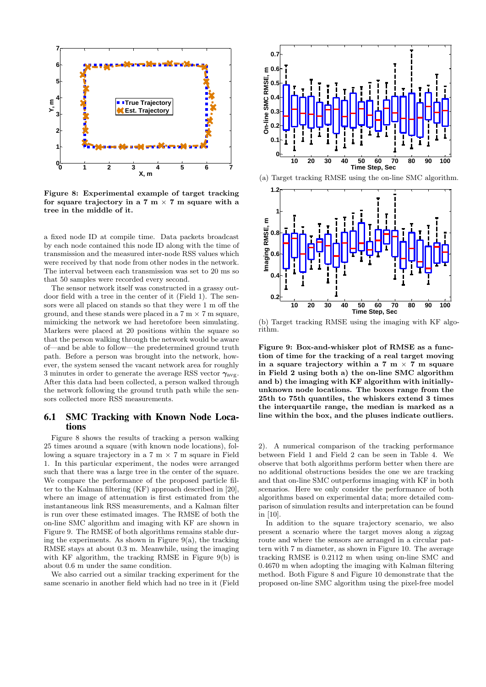

Figure 8: Experimental example of target tracking for square trajectory in a 7 m  $\times$  7 m square with a tree in the middle of it.

a fixed node ID at compile time. Data packets broadcast by each node contained this node ID along with the time of transmission and the measured inter-node RSS values which were received by that node from other nodes in the network. The interval between each transmission was set to 20 ms so that 50 samples were recorded every second.

The sensor network itself was constructed in a grassy outdoor field with a tree in the center of it (Field 1). The sensors were all placed on stands so that they were 1 m off the ground, and these stands were placed in a  $7 \text{ m} \times 7 \text{ m}$  square, mimicking the network we had heretofore been simulating. Markers were placed at 20 positions within the square so that the person walking through the network would be aware of—and be able to follow—the predetermined ground truth path. Before a person was brought into the network, however, the system sensed the vacant network area for roughly 3 minutes in order to generate the average RSS vector  $\gamma_{\text{avg}}$ . After this data had been collected, a person walked through the network following the ground truth path while the sensors collected more RSS measurements.

### 6.1 SMC Tracking with Known Node Locations

Figure 8 shows the results of tracking a person walking 25 times around a square (with known node locations), following a square trajectory in a  $7 \text{ m} \times 7 \text{ m}$  square in Field 1. In this particular experiment, the nodes were arranged such that there was a large tree in the center of the square. We compare the performance of the proposed particle filter to the Kalman filtering (KF) approach described in [20], where an image of attenuation is first estimated from the instantaneous link RSS measurements, and a Kalman filter is run over these estimated images. The RMSE of both the on-line SMC algorithm and imaging with KF are shown in Figure 9. The RMSE of both algorithms remains stable during the experiments. As shown in Figure  $9(a)$ , the tracking RMSE stays at about 0.3 m. Meanwhile, using the imaging with KF algorithm, the tracking RMSE in Figure 9(b) is about 0.6 m under the same condition.

We also carried out a similar tracking experiment for the same scenario in another field which had no tree in it (Field



(a) Target tracking RMSE using the on-line SMC algorithm.



(b) Target tracking RMSE using the imaging with KF algorithm.

Figure 9: Box-and-whisker plot of RMSE as a function of time for the tracking of a real target moving in a square trajectory within a 7 m  $\times$  7 m square in Field 2 using both a) the on-line SMC algorithm and b) the imaging with KF algorithm with initiallyunknown node locations. The boxes range from the 25th to 75th quantiles, the whiskers extend 3 times the interquartile range, the median is marked as a line within the box, and the pluses indicate outliers.

2). A numerical comparison of the tracking performance between Field 1 and Field 2 can be seen in Table 4. We observe that both algorithms perform better when there are no additional obstructions besides the one we are tracking and that on-line SMC outperforms imaging with KF in both scenarios. Here we only consider the performance of both algorithms based on experimental data; more detailed comparison of simulation results and interpretation can be found in [10].

In addition to the square trajectory scenario, we also present a scenario where the target moves along a zigzag route and where the sensors are arranged in a circular pattern with 7 m diameter, as shown in Figure 10. The average tracking RMSE is 0.2112 m when using on-line SMC and 0.4670 m when adopting the imaging with Kalman filtering method. Both Figure 8 and Figure 10 demonstrate that the proposed on-line SMC algorithm using the pixel-free model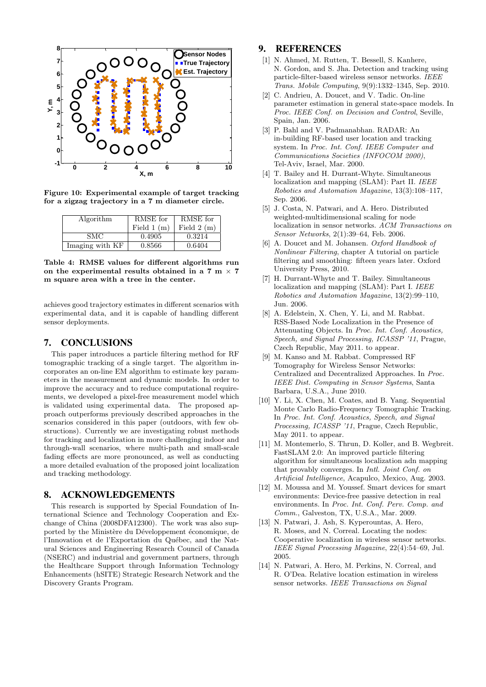

Figure 10: Experimental example of target tracking for a zigzag trajectory in a 7 m diameter circle.

| Algorithm       | RMSE for     | RMSE for     |
|-----------------|--------------|--------------|
|                 | Field $1(m)$ | Field $2(m)$ |
| SMC.            | 0.4905       | 0.3214       |
| Imaging with KF | 0.8566       | 0.6404       |

Table 4: RMSE values for different algorithms run on the experimental results obtained in a 7 m  $\times$  7 m square area with a tree in the center.

achieves good trajectory estimates in different scenarios with experimental data, and it is capable of handling different sensor deployments.

## 7. CONCLUSIONS

This paper introduces a particle filtering method for RF tomographic tracking of a single target. The algorithm incorporates an on-line EM algorithm to estimate key parameters in the measurement and dynamic models. In order to improve the accuracy and to reduce computational requirements, we developed a pixel-free measurement model which is validated using experimental data. The proposed approach outperforms previously described approaches in the scenarios considered in this paper (outdoors, with few obstructions). Currently we are investigating robust methods for tracking and localization in more challenging indoor and through-wall scenarios, where multi-path and small-scale fading effects are more pronounced, as well as conducting a more detailed evaluation of the proposed joint localization and tracking methodology.

### 8. ACKNOWLEDGEMENTS

This research is supported by Special Foundation of International Science and Technology Cooperation and Exchange of China (2008DFA12300). The work was also supported by the Ministère du Développement économique, de l'Innovation et de l'Exportation du Québec, and the Natural Sciences and Engineering Research Council of Canada (NSERC) and industrial and government partners, through the Healthcare Support through Information Technology Enhancements (hSITE) Strategic Research Network and the Discovery Grants Program.

# 9. REFERENCES

- [1] N. Ahmed, M. Rutten, T. Bessell, S. Kanhere, N. Gordon, and S. Jha. Detection and tracking using particle-filter-based wireless sensor networks. IEEE Trans. Mobile Computing, 9(9):1332–1345, Sep. 2010.
- [2] C. Andrieu, A. Doucet, and V. Tadic. On-line parameter estimation in general state-space models. In Proc. IEEE Conf. on Decision and Control, Seville, Spain, Jan. 2006.
- [3] P. Bahl and V. Padmanabhan. RADAR: An in-building RF-based user location and tracking system. In Proc. Int. Conf. IEEE Computer and Communications Societies (INFOCOM 2000), Tel-Aviv, Israel, Mar. 2000.
- [4] T. Bailey and H. Durrant-Whyte. Simultaneous localization and mapping (SLAM): Part II. IEEE Robotics and Automation Magazine, 13(3):108–117, Sep. 2006.
- [5] J. Costa, N. Patwari, and A. Hero. Distributed weighted-multidimensional scaling for node localization in sensor networks. ACM Transactions on Sensor Networks, 2(1):39–64, Feb. 2006.
- [6] A. Doucet and M. Johansen. Oxford Handbook of Nonlinear Filtering, chapter A tutorial on particle filtering and smoothing: fifteen years later. Oxford University Press, 2010.
- [7] H. Durrant-Whyte and T. Bailey. Simultaneous localization and mapping (SLAM): Part I. IEEE Robotics and Automation Magazine, 13(2):99–110, Jun. 2006.
- [8] A. Edelstein, X. Chen, Y. Li, and M. Rabbat. RSS-Based Node Localization in the Presence of Attenuating Objects. In Proc. Int. Conf. Acoustics, Speech, and Signal Processing, ICASSP '11, Prague, Czech Republic, May 2011. to appear.
- [9] M. Kanso and M. Rabbat. Compressed RF Tomography for Wireless Sensor Networks: Centralized and Decentralized Approaches. In Proc. IEEE Dist. Computing in Sensor Systems, Santa Barbara, U.S.A., June 2010.
- [10] Y. Li, X. Chen, M. Coates, and B. Yang. Sequential Monte Carlo Radio-Frequency Tomographic Tracking. In Proc. Int. Conf. Acoustics, Speech, and Signal Processing, ICASSP '11, Prague, Czech Republic, May 2011. to appear.
- [11] M. Montemerlo, S. Thrun, D. Koller, and B. Wegbreit. FastSLAM 2.0: An improved particle filtering algorithm for simultaneous localization adn mapping that provably converges. In Intl. Joint Conf. on Artificial Intelligence, Acapulco, Mexico, Aug. 2003.
- [12] M. Moussa and M. Youssef. Smart devices for smart environments: Device-free passive detection in real environments. In Proc. Int. Conf. Perv. Comp. and Comm., Galveston, TX, U.S.A., Mar. 2009.
- [13] N. Patwari, J. Ash, S. Kyperountas, A. Hero, R. Moses, and N. Correal. Locating the nodes: Cooperative localization in wireless sensor networks. IEEE Signal Processing Magazine, 22(4):54–69, Jul. 2005.
- [14] N. Patwari, A. Hero, M. Perkins, N. Correal, and R. O'Dea. Relative location estimation in wireless sensor networks. IEEE Transactions on Signal